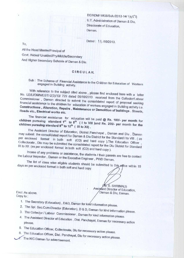DE/ADM/ WEB/Sch./2013-14/ 1057 U.T. Administration **of Daman & Diu, Directorate of Education, Daman.**

**0**<br>**6**. S. SHRIMALI)

Assistant Director of Education,

Dated : | | /10/2013.

To,

**All the Head Master/Principal of Govt. /Aided**/ **Unaided**/**Pry/Middle**/**Secondary And Higher Secondary Schools of Daman & Diu.**

## CIRCULAR.

## Sub : The Scheme of Financial **Assistance** to the Children for Education of Workers **engaged in** Building activity.

With reference to the subject cited above , please find enclosed here with a letter No. LE/LI/DMN/EST/-2(3)/13/ 729 dated 08/10/2013 received from the Collector/Labour financial assistance to the children for education of workers engaged in Building activity i.e.<br>Constructions, Alteration, Repairs, Maintenance or Demolition of buildings. Streets,<br>Roads etc., Electrical works etc.

The financial assistance for education will be paid @ Rs. 100/- per month for **children pursuing standard 1S' to 8t"** For education will be paid @ **Rs. 100/- per month for** thildren pursuing standard 1<sup>st</sup> to 8<sup>th</sup> ( I to VIII ) and Rs. 200/- per month for the children pursuing standard 9<sup>th</sup> to 12<sup>th</sup> (IX to XII)

The Assistant Director of Education, District Panchayat , Daman and Diu , Daman may submit the consolidated report for Daman & Diu District for the Standard I to VIII . (as per enclosed format in both soft (CD) and hard copy ). The Education Officer Collectorate , Diu may be submitted the consolidated report for the Diu District 'for Standard IX to XII. (as per enclosed format in both soft (CD) and hard copy ).

Incase of any problems or **assistance** , the students / their parents are free to contact the Labour Inspector, Daman or the Executive Engineer, PWD Daman.

The list of class wise eligible students should be submitted to this office within 15 days as per enclosed format in both soft and hard copy.

Encl: As above. **Daman & Diu, Daman.** Copy to :

- 1. The Secretary (Education), D&D, Daman for kind information please.
- 
- 2. The SpI. Sec.Cum-Director (Education), D & D, Daman for kind information please. 3. The Collector / Labour Commissioner, Daman for kind information please.
- 4. The Assistant Director of Education , Dist. Panchayat, Daman for necessary action please.
- 5. The Education Officer, Collectorate, Diu for necessary action please.
- 6. The Education Officer, Dist. Panchayat, Diu for necessary action please.
- .The NIC Daman for advertisement.